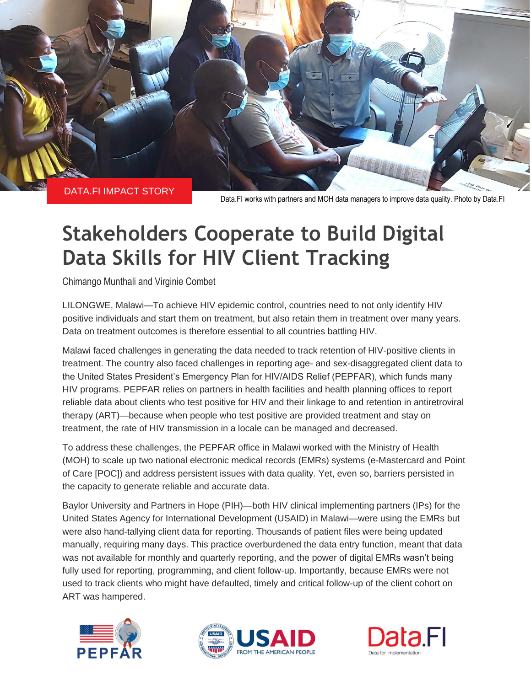

Data.FI works with partners and MOH data managers to improve data quality. Photo by Data.FI

# **Stakeholders Cooperate to Build Digital Data Skills for HIV Client Tracking**

Chimango Munthali and Virginie Combet

LILONGWE, Malawi—To achieve HIV epidemic control, countries need to not only identify HIV positive individuals and start them on treatment, but also retain them in treatment over many years. Data on treatment outcomes is therefore essential to all countries battling HIV.

Malawi faced challenges in generating the data needed to track retention of HIV-positive clients in treatment. The country also faced challenges in reporting age- and sex-disaggregated client data to the United States President's Emergency Plan for HIV/AIDS Relief (PEPFAR), which funds many HIV programs. PEPFAR relies on partners in health facilities and health planning offices to report reliable data about clients who test positive for HIV and their linkage to and retention in antiretroviral therapy (ART)—because when people who test positive are provided treatment and stay on treatment, the rate of HIV transmission in a locale can be managed and decreased.

To address these challenges, the PEPFAR office in Malawi worked with the Ministry of Health (MOH) to scale up two national electronic medical records (EMRs) systems (e-Mastercard and Point of Care [POC]) and address persistent issues with data quality. Yet, even so, barriers persisted in the capacity to generate reliable and accurate data.

Baylor University and Partners in Hope (PIH)—both HIV clinical implementing partners (IPs) for the United States Agency for International Development (USAID) in Malawi—were using the EMRs but were also hand-tallying client data for reporting. Thousands of patient files were being updated manually, requiring many days. This practice overburdened the data entry function, meant that data was not available for monthly and quarterly reporting, and the power of digital EMRs wasn't being fully used for reporting, programming, and client follow-up. Importantly, because EMRs were not used to track clients who might have defaulted, timely and critical follow-up of the client cohort on ART was hampered.





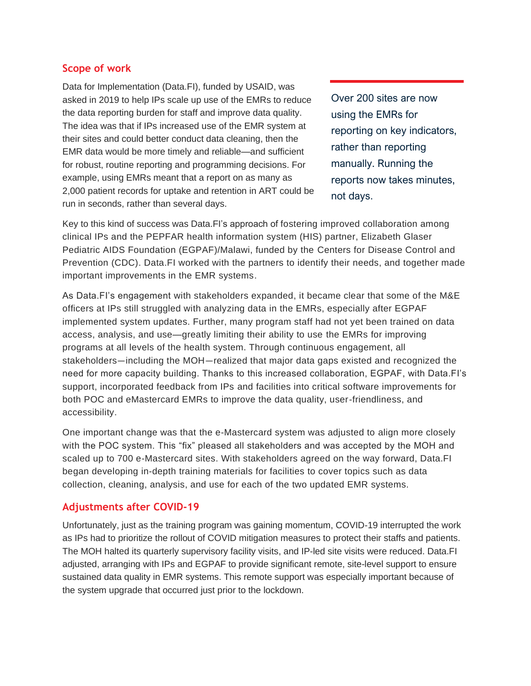## **Scope of work**

Data for Implementation (Data.FI), funded by USAID, was asked in 2019 to help IPs scale up use of the EMRs to reduce the data reporting burden for staff and improve data quality. The idea was that if IPs increased use of the EMR system at their sites and could better conduct data cleaning, then the EMR data would be more timely and reliable—and sufficient for robust, routine reporting and programming decisions. For example, using EMRs meant that a report on as many as 2,000 patient records for uptake and retention in ART could be run in seconds, rather than several days.

Over 200 sites are now using the EMRs for reporting on key indicators, rather than reporting manually. Running the reports now takes minutes, not days.

Key to this kind of success was Data.FI's approach of fostering improved collaboration among clinical IPs and the PEPFAR health information system (HIS) partner, Elizabeth Glaser Pediatric AIDS Foundation (EGPAF)/Malawi, funded by the Centers for Disease Control and Prevention (CDC). Data.FI worked with the partners to identify their needs, and together made important improvements in the EMR systems.

As Data.FI's engagement with stakeholders expanded, it became clear that some of the M&E officers at IPs still struggled with analyzing data in the EMRs, especially after EGPAF implemented system updates. Further, many program staff had not yet been trained on data access, analysis, and use—greatly limiting their ability to use the EMRs for improving programs at all levels of the health system. Through continuous engagement, all stakeholders—including the MOH—realized that major data gaps existed and recognized the need for more capacity building. Thanks to this increased collaboration, EGPAF, with Data.FI's support, incorporated feedback from IPs and facilities into critical software improvements for both POC and eMastercard EMRs to improve the data quality, user-friendliness, and accessibility.

One important change was that the e-Mastercard system was adjusted to align more closely with the POC system. This "fix" pleased all stakeholders and was accepted by the MOH and scaled up to 700 e-Mastercard sites. With stakeholders agreed on the way forward, Data.FI began developing in-depth training materials for facilities to cover topics such as data collection, cleaning, analysis, and use for each of the two updated EMR systems.

# **Adjustments after COVID-19**

Unfortunately, just as the training program was gaining momentum, COVID-19 interrupted the work as IPs had to prioritize the rollout of COVID mitigation measures to protect their staffs and patients. The MOH halted its quarterly supervisory facility visits, and IP-led site visits were reduced. Data.FI adjusted, arranging with IPs and EGPAF to provide significant remote, site-level support to ensure sustained data quality in EMR systems. This remote support was especially important because of the system upgrade that occurred just prior to the lockdown.